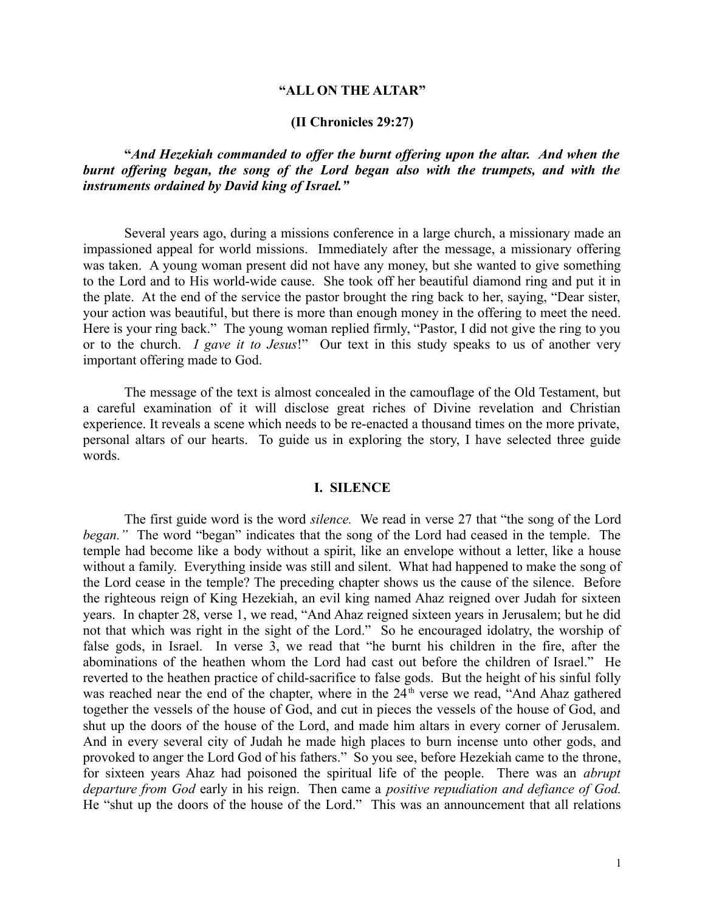### **"ALL ON THE ALTAR"**

## **(II Chronicles 29:27)**

**"***And Hezekiah commanded to offer the burnt offering upon the altar. And when the burnt offering began, the song of the Lord began also with the trumpets, and with the instruments ordained by David king of Israel."*

Several years ago, during a missions conference in a large church, a missionary made an impassioned appeal for world missions. Immediately after the message, a missionary offering was taken. A young woman present did not have any money, but she wanted to give something to the Lord and to His world-wide cause. She took off her beautiful diamond ring and put it in the plate. At the end of the service the pastor brought the ring back to her, saying, "Dear sister, your action was beautiful, but there is more than enough money in the offering to meet the need. Here is your ring back." The young woman replied firmly, "Pastor, I did not give the ring to you or to the church. *I gave it to Jesus*!" Our text in this study speaks to us of another very important offering made to God.

The message of the text is almost concealed in the camouflage of the Old Testament, but a careful examination of it will disclose great riches of Divine revelation and Christian experience. It reveals a scene which needs to be re-enacted a thousand times on the more private, personal altars of our hearts. To guide us in exploring the story, I have selected three guide words.

### **I. SILENCE**

The first guide word is the word *silence.* We read in verse 27 that "the song of the Lord *began."* The word "began" indicates that the song of the Lord had ceased in the temple. The temple had become like a body without a spirit, like an envelope without a letter, like a house without a family. Everything inside was still and silent. What had happened to make the song of the Lord cease in the temple? The preceding chapter shows us the cause of the silence. Before the righteous reign of King Hezekiah, an evil king named Ahaz reigned over Judah for sixteen years. In chapter 28, verse 1, we read, "And Ahaz reigned sixteen years in Jerusalem; but he did not that which was right in the sight of the Lord." So he encouraged idolatry, the worship of false gods, in Israel. In verse 3, we read that "he burnt his children in the fire, after the abominations of the heathen whom the Lord had cast out before the children of Israel." He reverted to the heathen practice of child-sacrifice to false gods. But the height of his sinful folly was reached near the end of the chapter, where in the  $24<sup>th</sup>$  verse we read, "And Ahaz gathered together the vessels of the house of God, and cut in pieces the vessels of the house of God, and shut up the doors of the house of the Lord, and made him altars in every corner of Jerusalem. And in every several city of Judah he made high places to burn incense unto other gods, and provoked to anger the Lord God of his fathers." So you see, before Hezekiah came to the throne, for sixteen years Ahaz had poisoned the spiritual life of the people. There was an *abrupt departure from God* early in his reign. Then came a *positive repudiation and defiance of God.* He "shut up the doors of the house of the Lord." This was an announcement that all relations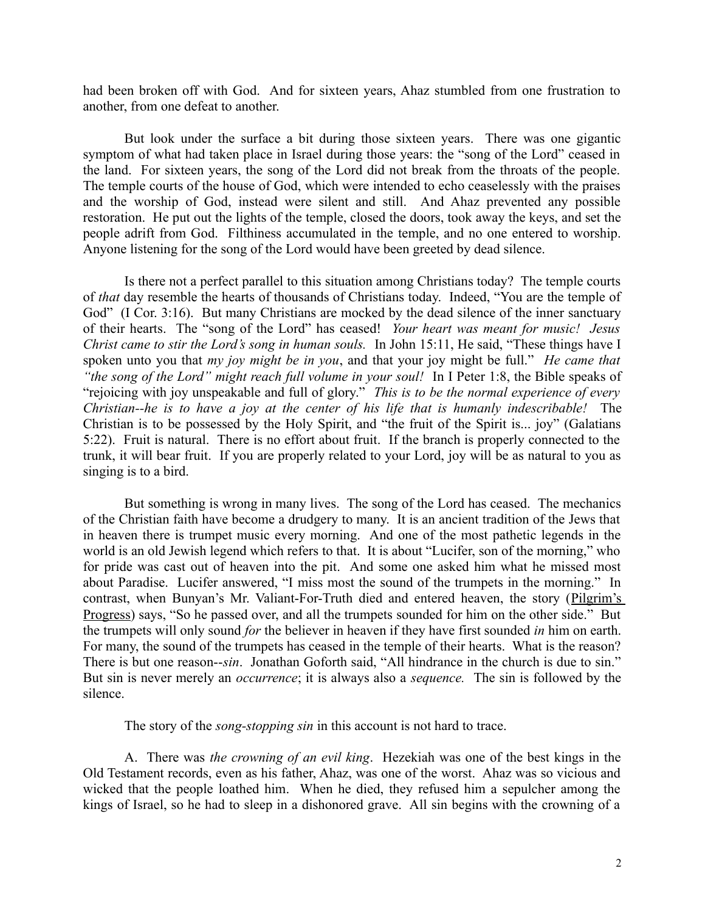had been broken off with God. And for sixteen years, Ahaz stumbled from one frustration to another, from one defeat to another.

But look under the surface a bit during those sixteen years. There was one gigantic symptom of what had taken place in Israel during those years: the "song of the Lord" ceased in the land. For sixteen years, the song of the Lord did not break from the throats of the people. The temple courts of the house of God, which were intended to echo ceaselessly with the praises and the worship of God, instead were silent and still. And Ahaz prevented any possible restoration. He put out the lights of the temple, closed the doors, took away the keys, and set the people adrift from God. Filthiness accumulated in the temple, and no one entered to worship. Anyone listening for the song of the Lord would have been greeted by dead silence.

Is there not a perfect parallel to this situation among Christians today? The temple courts of *that* day resemble the hearts of thousands of Christians today. Indeed, "You are the temple of God" (I Cor. 3:16). But many Christians are mocked by the dead silence of the inner sanctuary of their hearts. The "song of the Lord" has ceased! *Your heart was meant for music! Jesus Christ came to stir the Lord's song in human souls.* In John 15:11, He said, "These things have I spoken unto you that *my joy might be in you*, and that your joy might be full." *He came that "the song of the Lord" might reach full volume in your soul!* In I Peter 1:8, the Bible speaks of "rejoicing with joy unspeakable and full of glory." *This is to be the normal experience of every Christian--he is to have a joy at the center of his life that is humanly indescribable!* The Christian is to be possessed by the Holy Spirit, and "the fruit of the Spirit is... joy" (Galatians 5:22). Fruit is natural. There is no effort about fruit. If the branch is properly connected to the trunk, it will bear fruit. If you are properly related to your Lord, joy will be as natural to you as singing is to a bird.

But something is wrong in many lives. The song of the Lord has ceased. The mechanics of the Christian faith have become a drudgery to many. It is an ancient tradition of the Jews that in heaven there is trumpet music every morning. And one of the most pathetic legends in the world is an old Jewish legend which refers to that. It is about "Lucifer, son of the morning," who for pride was cast out of heaven into the pit. And some one asked him what he missed most about Paradise. Lucifer answered, "I miss most the sound of the trumpets in the morning." In contrast, when Bunyan's Mr. Valiant-For-Truth died and entered heaven, the story (Pilgrim's Progress) says, "So he passed over, and all the trumpets sounded for him on the other side." But the trumpets will only sound *for* the believer in heaven if they have first sounded *in* him on earth. For many, the sound of the trumpets has ceased in the temple of their hearts. What is the reason? There is but one reason--*sin*. Jonathan Goforth said, "All hindrance in the church is due to sin." But sin is never merely an *occurrence*; it is always also a *sequence.* The sin is followed by the silence.

The story of the *song-stopping sin* in this account is not hard to trace.

A. There was *the crowning of an evil king*. Hezekiah was one of the best kings in the Old Testament records, even as his father, Ahaz, was one of the worst. Ahaz was so vicious and wicked that the people loathed him. When he died, they refused him a sepulcher among the kings of Israel, so he had to sleep in a dishonored grave. All sin begins with the crowning of a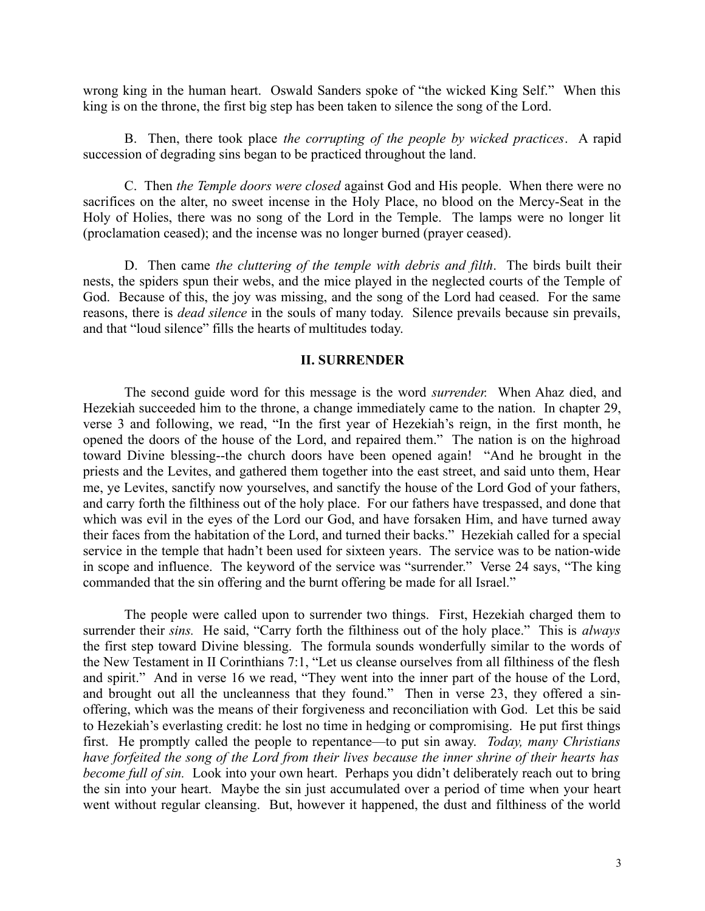wrong king in the human heart. Oswald Sanders spoke of "the wicked King Self." When this king is on the throne, the first big step has been taken to silence the song of the Lord.

B. Then, there took place *the corrupting of the people by wicked practices*. A rapid succession of degrading sins began to be practiced throughout the land.

C. Then *the Temple doors were closed* against God and His people. When there were no sacrifices on the alter, no sweet incense in the Holy Place, no blood on the Mercy-Seat in the Holy of Holies, there was no song of the Lord in the Temple. The lamps were no longer lit (proclamation ceased); and the incense was no longer burned (prayer ceased).

D. Then came *the cluttering of the temple with debris and filth*. The birds built their nests, the spiders spun their webs, and the mice played in the neglected courts of the Temple of God. Because of this, the joy was missing, and the song of the Lord had ceased. For the same reasons, there is *dead silence* in the souls of many today. Silence prevails because sin prevails, and that "loud silence" fills the hearts of multitudes today.

# **II. SURRENDER**

The second guide word for this message is the word *surrender.* When Ahaz died, and Hezekiah succeeded him to the throne, a change immediately came to the nation. In chapter 29, verse 3 and following, we read, "In the first year of Hezekiah's reign, in the first month, he opened the doors of the house of the Lord, and repaired them." The nation is on the highroad toward Divine blessing--the church doors have been opened again! "And he brought in the priests and the Levites, and gathered them together into the east street, and said unto them, Hear me, ye Levites, sanctify now yourselves, and sanctify the house of the Lord God of your fathers, and carry forth the filthiness out of the holy place. For our fathers have trespassed, and done that which was evil in the eyes of the Lord our God, and have forsaken Him, and have turned away their faces from the habitation of the Lord, and turned their backs." Hezekiah called for a special service in the temple that hadn't been used for sixteen years. The service was to be nation-wide in scope and influence. The keyword of the service was "surrender." Verse 24 says, "The king commanded that the sin offering and the burnt offering be made for all Israel."

The people were called upon to surrender two things. First, Hezekiah charged them to surrender their *sins.* He said, "Carry forth the filthiness out of the holy place." This is *always* the first step toward Divine blessing. The formula sounds wonderfully similar to the words of the New Testament in II Corinthians 7:1, "Let us cleanse ourselves from all filthiness of the flesh and spirit." And in verse 16 we read, "They went into the inner part of the house of the Lord, and brought out all the uncleanness that they found." Then in verse 23, they offered a sinoffering, which was the means of their forgiveness and reconciliation with God. Let this be said to Hezekiah's everlasting credit: he lost no time in hedging or compromising. He put first things first. He promptly called the people to repentance—to put sin away. *Today, many Christians have forfeited the song of the Lord from their lives because the inner shrine of their hearts has become full of sin.* Look into your own heart. Perhaps you didn't deliberately reach out to bring the sin into your heart. Maybe the sin just accumulated over a period of time when your heart went without regular cleansing. But, however it happened, the dust and filthiness of the world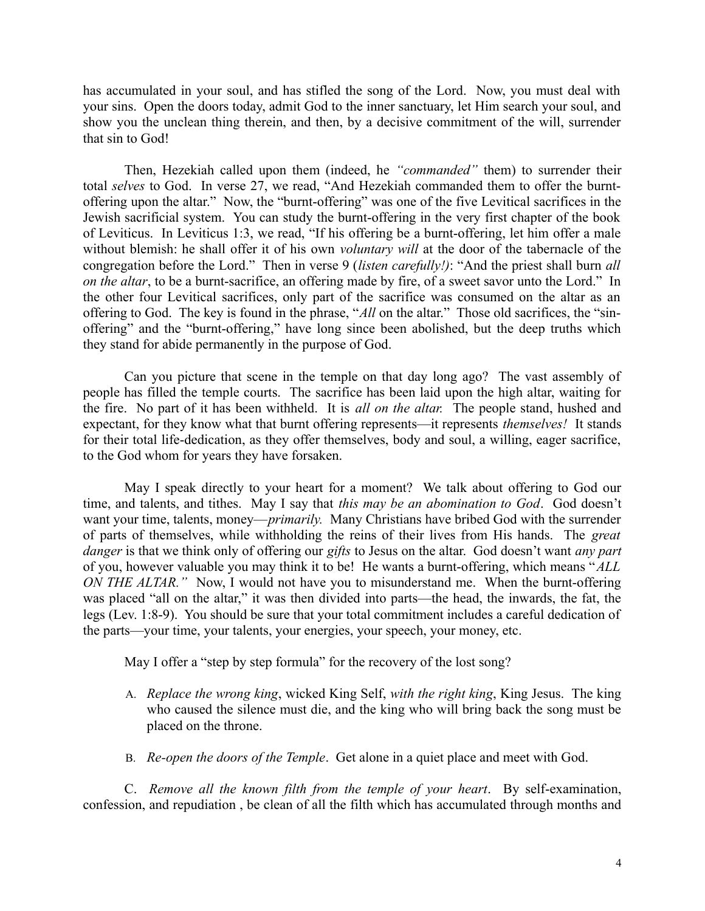has accumulated in your soul, and has stifled the song of the Lord. Now, you must deal with your sins. Open the doors today, admit God to the inner sanctuary, let Him search your soul, and show you the unclean thing therein, and then, by a decisive commitment of the will, surrender that sin to God!

Then, Hezekiah called upon them (indeed, he *"commanded"* them) to surrender their total *selves* to God. In verse 27, we read, "And Hezekiah commanded them to offer the burntoffering upon the altar." Now, the "burnt-offering" was one of the five Levitical sacrifices in the Jewish sacrificial system. You can study the burnt-offering in the very first chapter of the book of Leviticus. In Leviticus 1:3, we read, "If his offering be a burnt-offering, let him offer a male without blemish: he shall offer it of his own *voluntary will* at the door of the tabernacle of the congregation before the Lord." Then in verse 9 (*listen carefully!)*: "And the priest shall burn *all on the altar*, to be a burnt-sacrifice, an offering made by fire, of a sweet savor unto the Lord." In the other four Levitical sacrifices, only part of the sacrifice was consumed on the altar as an offering to God. The key is found in the phrase, "*All* on the altar." Those old sacrifices, the "sinoffering" and the "burnt-offering," have long since been abolished, but the deep truths which they stand for abide permanently in the purpose of God.

Can you picture that scene in the temple on that day long ago? The vast assembly of people has filled the temple courts. The sacrifice has been laid upon the high altar, waiting for the fire. No part of it has been withheld. It is *all on the altar.* The people stand, hushed and expectant, for they know what that burnt offering represents—it represents *themselves!* It stands for their total life-dedication, as they offer themselves, body and soul, a willing, eager sacrifice, to the God whom for years they have forsaken.

May I speak directly to your heart for a moment? We talk about offering to God our time, and talents, and tithes. May I say that *this may be an abomination to God*. God doesn't want your time, talents, money—*primarily.* Many Christians have bribed God with the surrender of parts of themselves, while withholding the reins of their lives from His hands. The *great danger* is that we think only of offering our *gifts* to Jesus on the altar. God doesn't want *any part* of you, however valuable you may think it to be! He wants a burnt-offering, which means "*ALL ON THE ALTAR.*" Now, I would not have you to misunderstand me. When the burnt-offering was placed "all on the altar," it was then divided into parts—the head, the inwards, the fat, the legs (Lev. 1:8-9). You should be sure that your total commitment includes a careful dedication of the parts—your time, your talents, your energies, your speech, your money, etc.

May I offer a "step by step formula" for the recovery of the lost song?

- A. *Replace the wrong king*, wicked King Self, *with the right king*, King Jesus. The king who caused the silence must die, and the king who will bring back the song must be placed on the throne.
- B. *Re-open the doors of the Temple*. Get alone in a quiet place and meet with God.

C. *Remove all the known filth from the temple of your heart*. By self-examination, confession, and repudiation , be clean of all the filth which has accumulated through months and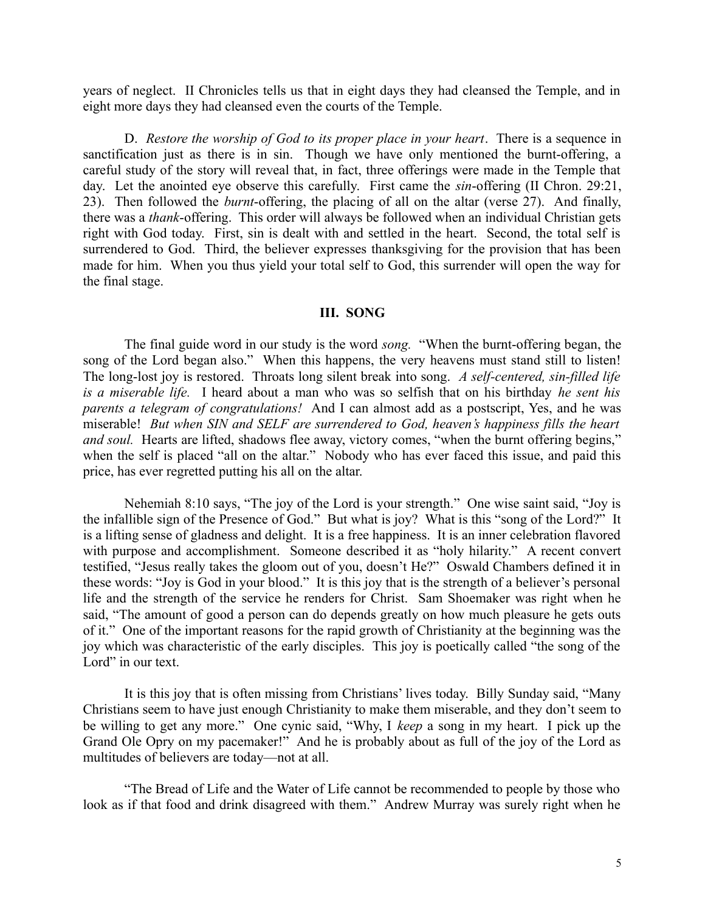years of neglect. II Chronicles tells us that in eight days they had cleansed the Temple, and in eight more days they had cleansed even the courts of the Temple.

D. *Restore the worship of God to its proper place in your heart*. There is a sequence in sanctification just as there is in sin. Though we have only mentioned the burnt-offering, a careful study of the story will reveal that, in fact, three offerings were made in the Temple that day. Let the anointed eye observe this carefully. First came the *sin*-offering (II Chron. 29:21, 23). Then followed the *burnt*-offering, the placing of all on the altar (verse 27). And finally, there was a *thank*-offering. This order will always be followed when an individual Christian gets right with God today. First, sin is dealt with and settled in the heart. Second, the total self is surrendered to God. Third, the believer expresses thanksgiving for the provision that has been made for him. When you thus yield your total self to God, this surrender will open the way for the final stage.

#### **III. SONG**

The final guide word in our study is the word *song.* "When the burnt-offering began, the song of the Lord began also." When this happens, the very heavens must stand still to listen! The long-lost joy is restored. Throats long silent break into song. *A self-centered, sin-filled life is a miserable life.* I heard about a man who was so selfish that on his birthday *he sent his parents a telegram of congratulations!* And I can almost add as a postscript, Yes, and he was miserable! *But when SIN and SELF are surrendered to God, heaven's happiness fills the heart and soul.* Hearts are lifted, shadows flee away, victory comes, "when the burnt offering begins," when the self is placed "all on the altar." Nobody who has ever faced this issue, and paid this price, has ever regretted putting his all on the altar.

Nehemiah 8:10 says, "The joy of the Lord is your strength." One wise saint said, "Joy is the infallible sign of the Presence of God." But what is joy? What is this "song of the Lord?" It is a lifting sense of gladness and delight. It is a free happiness. It is an inner celebration flavored with purpose and accomplishment. Someone described it as "holy hilarity." A recent convert testified, "Jesus really takes the gloom out of you, doesn't He?" Oswald Chambers defined it in these words: "Joy is God in your blood." It is this joy that is the strength of a believer's personal life and the strength of the service he renders for Christ. Sam Shoemaker was right when he said, "The amount of good a person can do depends greatly on how much pleasure he gets outs of it." One of the important reasons for the rapid growth of Christianity at the beginning was the joy which was characteristic of the early disciples. This joy is poetically called "the song of the Lord" in our text.

It is this joy that is often missing from Christians' lives today. Billy Sunday said, "Many Christians seem to have just enough Christianity to make them miserable, and they don't seem to be willing to get any more." One cynic said, "Why, I *keep* a song in my heart. I pick up the Grand Ole Opry on my pacemaker!" And he is probably about as full of the joy of the Lord as multitudes of believers are today—not at all.

"The Bread of Life and the Water of Life cannot be recommended to people by those who look as if that food and drink disagreed with them." Andrew Murray was surely right when he